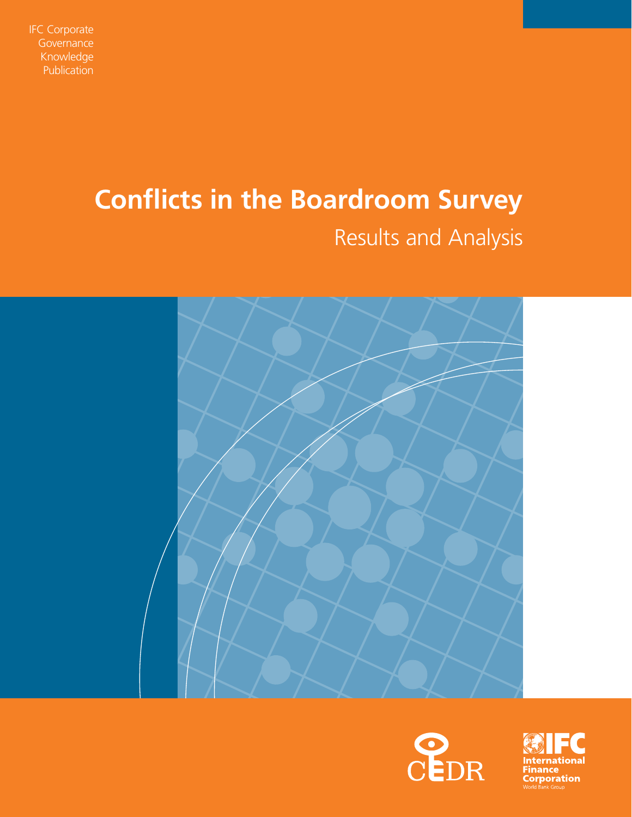

# **Conflicts in the Boardroom Survey**

# Results and Analysis





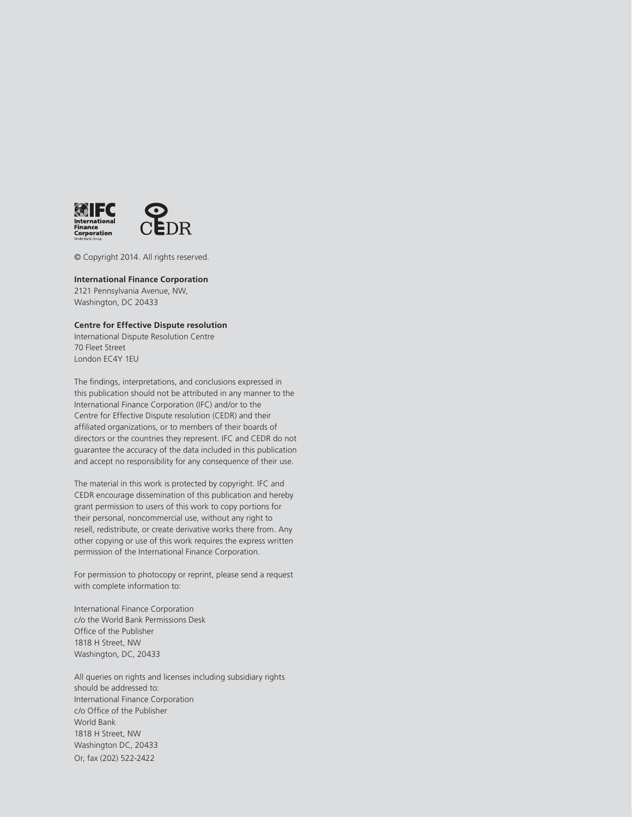

© Copyright 2014. All rights reserved.

#### **International Finance Corporation**

2121 Pennsylvania Avenue, NW, Washington, DC 20433

#### **Centre for Effective Dispute resolution**

International Dispute Resolution Centre 70 Fleet Street London EC4Y 1EU

The findings, interpretations, and conclusions expressed in this publication should not be attributed in any manner to the International Finance Corporation (IFC) and/or to the Centre for Effective Dispute resolution (CEDR) and their affiliated organizations, or to members of their boards of directors or the countries they represent. IFC and CEDR do not guarantee the accuracy of the data included in this publication and accept no responsibility for any consequence of their use.

The material in this work is protected by copyright. IFC and CEDR encourage dissemination of this publication and hereby grant permission to users of this work to copy portions for their personal, noncommercial use, without any right to resell, redistribute, or create derivative works there from. Any other copying or use of this work requires the express written permission of the International Finance Corporation.

For permission to photocopy or reprint, please send a request with complete information to:

International Finance Corporation c/o the World Bank Permissions Desk Office of the Publisher 1818 H Street, NW Washington, DC, 20433

All queries on rights and licenses including subsidiary rights should be addressed to: International Finance Corporation c/o Office of the Publisher World Bank 1818 H Street, NW Washington DC, 20433 Or, fax (202) 522-2422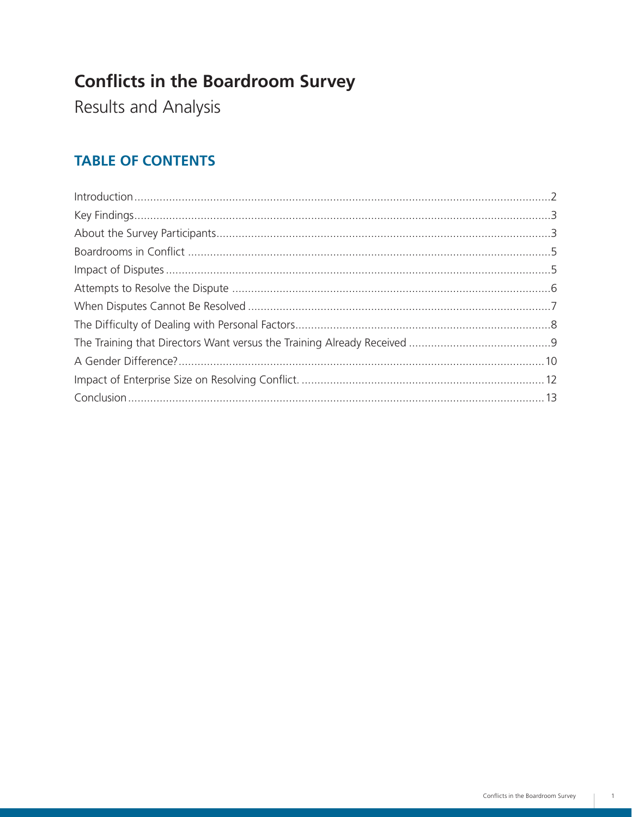# **Conflicts in the Boardroom Survey**

Results and Analysis

## **TABLE OF CONTENTS**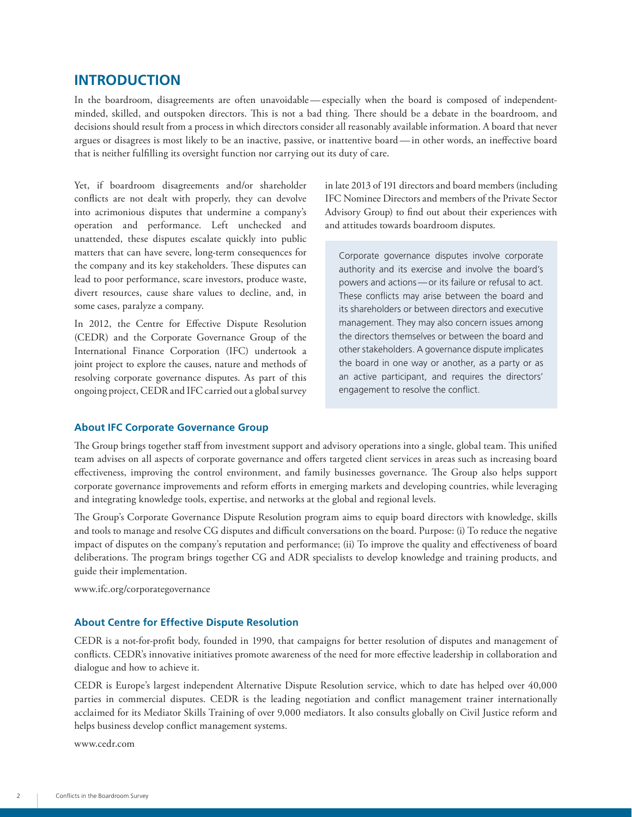### **Introduction**

In the boardroom, disagreements are often unavoidable — especially when the board is composed of independentminded, skilled, and outspoken directors. This is not a bad thing. There should be a debate in the boardroom, and decisions should result from a process in which directors consider all reasonably available information. A board that never argues or disagrees is most likely to be an inactive, passive, or inattentive board — in other words, an ineffective board that is neither fulfilling its oversight function nor carrying out its duty of care.

Yet, if boardroom disagreements and/or shareholder conflicts are not dealt with properly, they can devolve into acrimonious disputes that undermine a company's operation and performance. Left unchecked and unattended, these disputes escalate quickly into public matters that can have severe, long-term consequences for the company and its key stakeholders. These disputes can lead to poor performance, scare investors, produce waste, divert resources, cause share values to decline, and, in some cases, paralyze a company.

In 2012, the Centre for Effective Dispute Resolution (CEDR) and the Corporate Governance Group of the International Finance Corporation (IFC) undertook a joint project to explore the causes, nature and methods of resolving corporate governance disputes. As part of this ongoing project, CEDR and IFC carried out a global survey

in late 2013 of 191 directors and board members (including IFC Nominee Directors and members of the Private Sector Advisory Group) to find out about their experiences with and attitudes towards boardroom disputes.

Corporate governance disputes involve corporate authority and its exercise and involve the board's powers and actions — or its failure or refusal to act. These conflicts may arise between the board and its shareholders or between directors and executive management. They may also concern issues among the directors themselves or between the board and other stakeholders. A governance dispute implicates the board in one way or another, as a party or as an active participant, and requires the directors' engagement to resolve the conflict.

#### **About IFC Corporate Governance Group**

The Group brings together staff from investment support and advisory operations into a single, global team. This unified team advises on all aspects of corporate governance and offers targeted client services in areas such as increasing board effectiveness, improving the control environment, and family businesses governance. The Group also helps support corporate governance improvements and reform efforts in emerging markets and developing countries, while leveraging and integrating knowledge tools, expertise, and networks at the global and regional levels.

The Group's Corporate Governance Dispute Resolution program aims to equip board directors with knowledge, skills and tools to manage and resolve CG disputes and difficult conversations on the board. Purpose: (i) To reduce the negative impact of disputes on the company's reputation and performance; (ii) To improve the quality and effectiveness of board deliberations. The program brings together CG and ADR specialists to develop knowledge and training products, and guide their implementation.

www.ifc.org/corporategovernance

#### **About Centre for Effective Dispute Resolution**

CEDR is a not-for-profit body, founded in 1990, that campaigns for better resolution of disputes and management of conflicts. CEDR's innovative initiatives promote awareness of the need for more effective leadership in collaboration and dialogue and how to achieve it.

CEDR is Europe's largest independent Alternative Dispute Resolution service, which to date has helped over 40,000 parties in commercial disputes. CEDR is the leading negotiation and conflict management trainer internationally acclaimed for its Mediator Skills Training of over 9,000 mediators. It also consults globally on Civil Justice reform and helps business develop conflict management systems.

<www.cedr.com>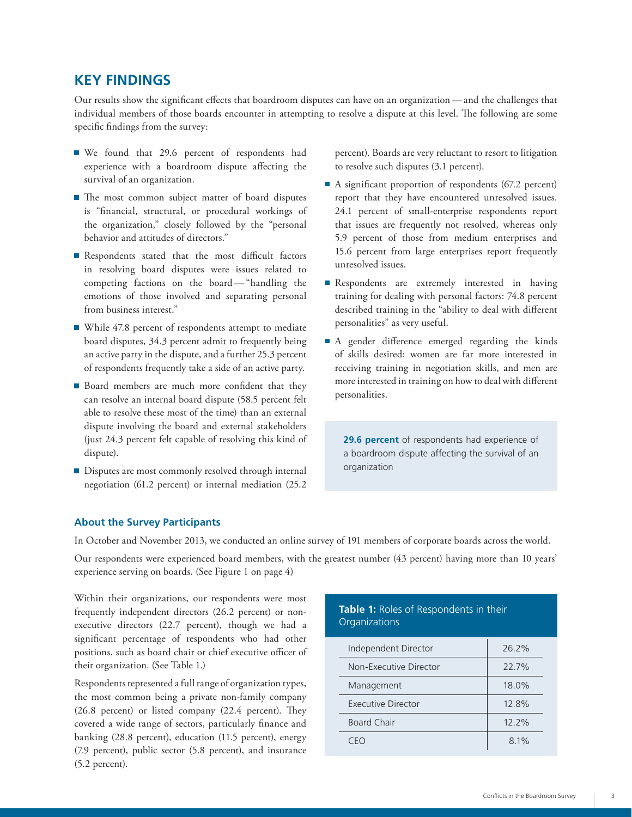### **Key Findings**

Our results show the significant effects that boardroom disputes can have on an organization — and the challenges that individual members of those boards encounter in attempting to resolve a dispute at this level. The following are some specific findings from the survey:

- We found that 29.6 percent of respondents had experience with a boardroom dispute affecting the survival of an organization.
- The most common subject matter of board disputes is "financial, structural, or procedural workings of the organization," closely followed by the "personal behavior and attitudes of directors."
- Respondents stated that the most difficult factors in resolving board disputes were issues related to competing factions on the board-"handling the emotions of those involved and separating personal from business interest."
- While 47.8 percent of respondents attempt to mediate board disputes, 34.3 percent admit to frequently being an active party in the dispute, and a further 25.3 percent of respondents frequently take a side of an active party.
- Board members are much more confident that they can resolve an internal board dispute (58.5 percent felt able to resolve these most of the time) than an external dispute involving the board and external stakeholders (just 24.3 percent felt capable of resolving this kind of dispute).
- Disputes are most commonly resolved through internal negotiation (61.2 percent) or internal mediation (25.2

percent). Boards are very reluctant to resort to litigation to resolve such disputes (3.1 percent).

- A significant proportion of respondents  $(67.2 \text{ percent})$ report that they have encountered unresolved issues. 24.1 percent of small-enterprise respondents report that issues are frequently not resolved, whereas only 5.9 percent of those from medium enterprises and 15.6 percent from large enterprises report frequently unresolved issues.
- Respondents are extremely interested in having training for dealing with personal factors: 74.8 percent described training in the "ability to deal with different personalities" as very useful.
- A gender difference emerged regarding the kinds of skills desired: women are far more interested in receiving training in negotiation skills, and men are more interested in training on how to deal with different personalities.

**29.6 percent** of respondents had experience of a boardroom dispute affecting the survival of an organization

#### **About the Survey Participants**

In October and November 2013, we conducted an online survey of 191 members of corporate boards across the world.

Our respondents were experienced board members, with the greatest number (43 percent) having more than 10 years' experience serving on boards. (See Figure 1 on page 4)

Within their organizations, our respondents were most frequently independent directors (26.2 percent) or nonexecutive directors (22.7 percent), though we had a significant percentage of respondents who had other positions, such as board chair or chief executive officer of their organization. (See Table 1.)

Respondents represented a full range of organization types, the most common being a private non-family company (26.8 percent) or listed company (22.4 percent). They covered a wide range of sectors, particularly finance and banking (28.8 percent), education (11.5 percent), energy (7.9 percent), public sector (5.8 percent), and insurance (5.2 percent).

#### **Table 1:** Roles of Respondents in their **Organizations**

| Independent Director   | 26.2%    |
|------------------------|----------|
| Non-Executive Director | 22.7%    |
| Management             | 18.0%    |
| Executive Director     | 12.8%    |
| <b>Board Chair</b>     | $12.2\%$ |
|                        | 8.1%     |
|                        |          |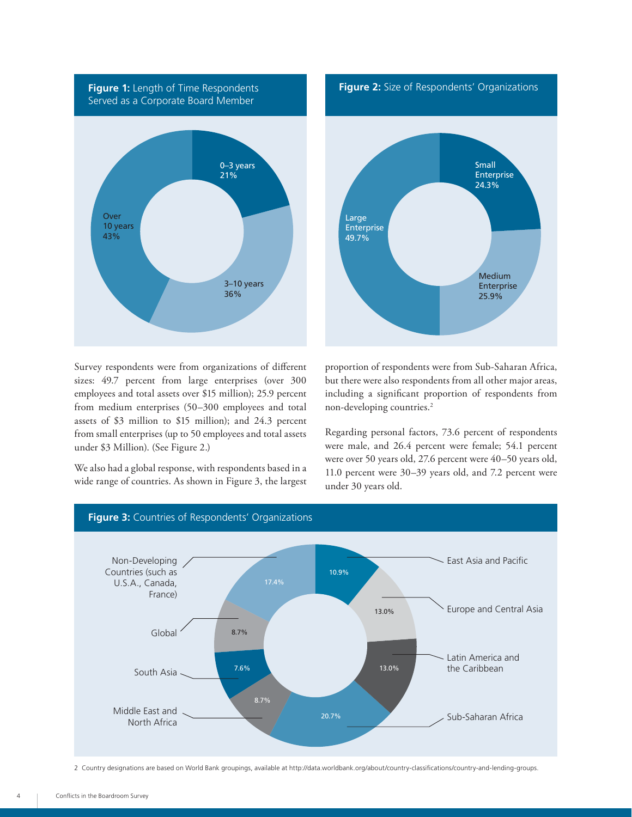

Small Enterprise 24.3% Large Enterprise 49.7% Medium Enterprise 25.9% **Figure 2:** Size of Respondents' Organizations

Survey respondents were from organizations of different sizes: 49.7 percent from large enterprises (over 300 employees and total assets over \$15 million); 25.9 percent from medium enterprises (50–300 employees and total assets of \$3 million to \$15 million); and 24.3 percent from small enterprises (up to 50 employees and total assets under \$3 Million). (See Figure 2.)

We also had a global response, with respondents based in a wide range of countries. As shown in Figure 3, the largest proportion of respondents were from Sub-Saharan Africa, but there were also respondents from all other major areas, including a significant proportion of respondents from non-developing countries.2

Regarding personal factors, 73.6 percent of respondents were male, and 26.4 percent were female; 54.1 percent were over 50 years old, 27.6 percent were 40–50 years old, 11.0 percent were 30–39 years old, and 7.2 percent were under 30 years old.



2 Country designations are based on World Bank groupings, available at<http://data.worldbank.org/about/country-classifications/country-and-lending-groups>.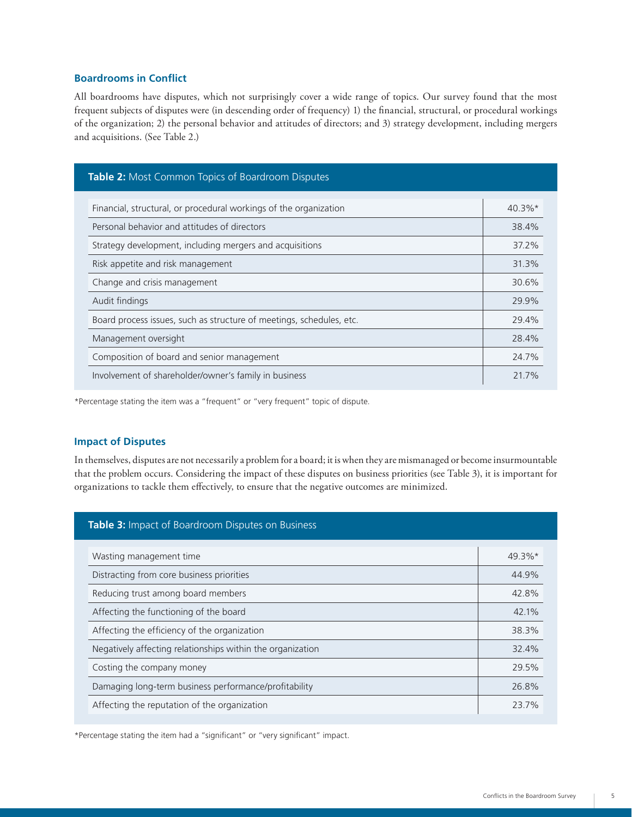#### **Boardrooms in Conflict**

All boardrooms have disputes, which not surprisingly cover a wide range of topics. Our survey found that the most frequent subjects of disputes were (in descending order of frequency) 1) the financial, structural, or procedural workings of the organization; 2) the personal behavior and attitudes of directors; and 3) strategy development, including mergers and acquisitions. (See Table 2.)

| Table 2: Most Common Topics of Boardroom Disputes                    |           |
|----------------------------------------------------------------------|-----------|
|                                                                      |           |
| Financial, structural, or procedural workings of the organization    | $40.3\%*$ |
| Personal behavior and attitudes of directors                         | 38.4%     |
| Strategy development, including mergers and acquisitions             | 37.2%     |
| Risk appetite and risk management                                    | 31.3%     |
| Change and crisis management                                         | 30.6%     |
| Audit findings                                                       | 29.9%     |
| Board process issues, such as structure of meetings, schedules, etc. | 29.4%     |
| Management oversight                                                 | 28.4%     |
| Composition of board and senior management                           | 24.7%     |
| Involvement of shareholder/owner's family in business                | 21.7%     |

\*Percentage stating the item was a "frequent" or "very frequent" topic of dispute.

#### **Impact of Disputes**

In themselves, disputes are not necessarily a problem for a board; it is when they are mismanaged or become insurmountable that the problem occurs. Considering the impact of these disputes on business priorities (see Table 3), it is important for organizations to tackle them effectively, to ensure that the negative outcomes are minimized.

| Table 3: Impact of Boardroom Disputes on Business          |           |
|------------------------------------------------------------|-----------|
| Wasting management time                                    | $49.3\%*$ |
| Distracting from core business priorities                  | 44.9%     |
| Reducing trust among board members                         | 42.8%     |
| Affecting the functioning of the board                     | 42.1%     |
| Affecting the efficiency of the organization               | 38.3%     |
| Negatively affecting relationships within the organization | 32.4%     |
| Costing the company money                                  | 29.5%     |
| Damaging long-term business performance/profitability      | 26.8%     |
| Affecting the reputation of the organization               | 237%      |

\*Percentage stating the item had a "significant" or "very significant" impact.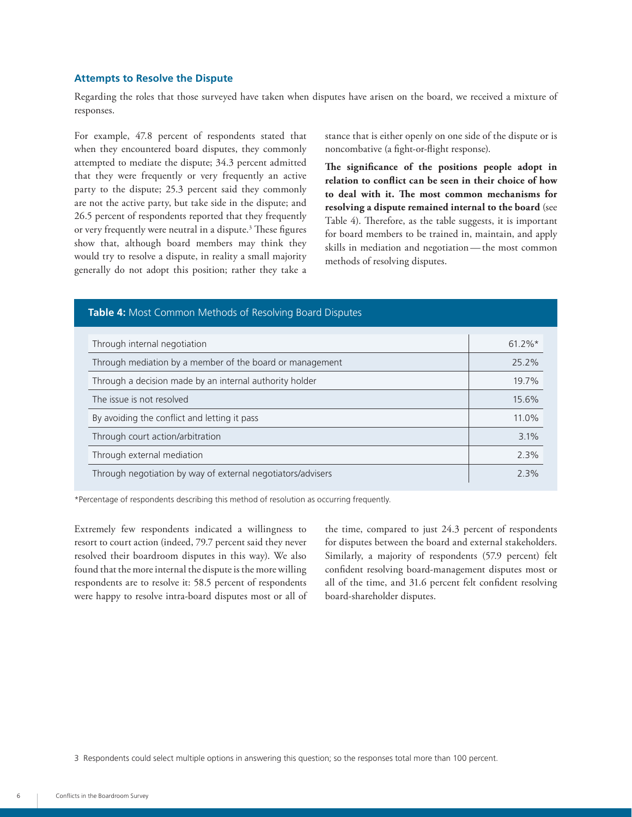#### **Attempts to Resolve the Dispute**

Regarding the roles that those surveyed have taken when disputes have arisen on the board, we received a mixture of responses.

For example, 47.8 percent of respondents stated that when they encountered board disputes, they commonly attempted to mediate the dispute; 34.3 percent admitted that they were frequently or very frequently an active party to the dispute; 25.3 percent said they commonly are not the active party, but take side in the dispute; and 26.5 percent of respondents reported that they frequently or very frequently were neutral in a dispute.<sup>3</sup> These figures show that, although board members may think they would try to resolve a dispute, in reality a small majority generally do not adopt this position; rather they take a

stance that is either openly on one side of the dispute or is noncombative (a fight-or-flight response).

**The significance of the positions people adopt in relation to conflict can be seen in their choice of how to deal with it. The most common mechanisms for resolving a dispute remained internal to the board** (see Table 4). Therefore, as the table suggests, it is important for board members to be trained in, maintain, and apply skills in mediation and negotiation — the most common methods of resolving disputes.

#### **Table 4:** Most Common Methods of Resolving Board Disputes

| Through internal negotiation                                | $61.2\%$ * |
|-------------------------------------------------------------|------------|
| Through mediation by a member of the board or management    | 25.2%      |
| Through a decision made by an internal authority holder     | 19.7%      |
| The issue is not resolved                                   | 15.6%      |
| By avoiding the conflict and letting it pass                | 11.0%      |
| Through court action/arbitration                            | 3.1%       |
| Through external mediation                                  | 2.3%       |
| Through negotiation by way of external negotiators/advisers | 2.3%       |

\*Percentage of respondents describing this method of resolution as occurring frequently.

Extremely few respondents indicated a willingness to resort to court action (indeed, 79.7 percent said they never resolved their boardroom disputes in this way). We also found that the more internal the dispute is the more willing respondents are to resolve it: 58.5 percent of respondents were happy to resolve intra-board disputes most or all of the time, compared to just 24.3 percent of respondents for disputes between the board and external stakeholders. Similarly, a majority of respondents (57.9 percent) felt confident resolving board-management disputes most or all of the time, and 31.6 percent felt confident resolving board-shareholder disputes.

3 Respondents could select multiple options in answering this question; so the responses total more than 100 percent.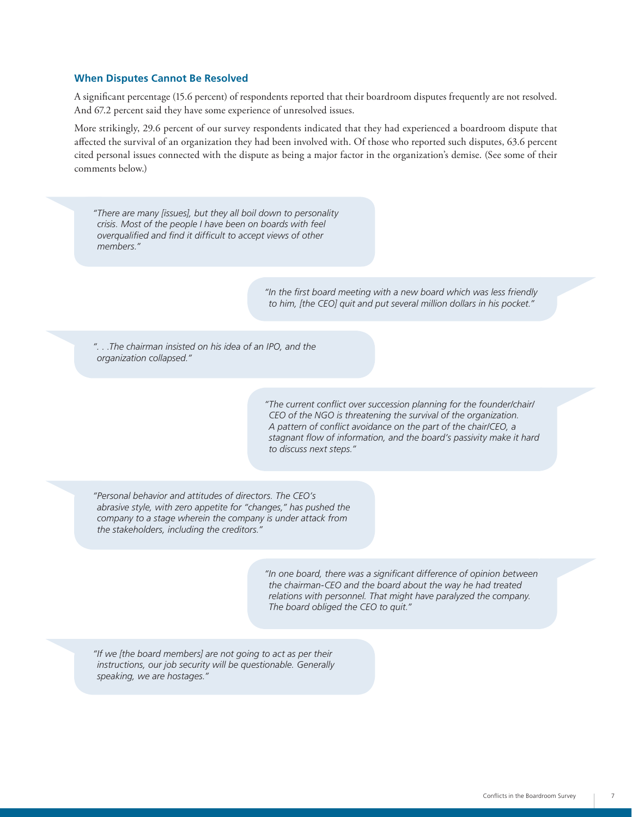#### **When Disputes Cannot Be Resolved**

A significant percentage (15.6 percent) of respondents reported that their boardroom disputes frequently are not resolved. And 67.2 percent said they have some experience of unresolved issues.

More strikingly, 29.6 percent of our survey respondents indicated that they had experienced a boardroom dispute that affected the survival of an organization they had been involved with. Of those who reported such disputes, 63.6 percent cited personal issues connected with the dispute as being a major factor in the organization's demise. (See some of their comments below.)

*"There are many [issues], but they all boil down to personality crisis. Most of the people I have been on boards with feel overqualified and find it difficult to accept views of other members." ". . .The chairman insisted on his idea of an IPO, and the organization collapsed." "Personal behavior and attitudes of directors. The CEO's abrasive style, with zero appetite for "changes," has pushed the company to a stage wherein the company is under attack from the stakeholders, including the creditors." "If we [the board members] are not going to act as per their instructions, our job security will be questionable. Generally speaking, we are hostages." "In the first board meeting with a new board which was less friendly to him, [the CEO] quit and put several million dollars in his pocket." "The current conflict over succession planning for the founder/chair/ CEO of the NGO is threatening the survival of the organization. A pattern of conflict avoidance on the part of the chair/CEO, a stagnant flow of information, and the board's passivity make it hard to discuss next steps." "In one board, there was a significant difference of opinion between the chairman-CEO and the board about the way he had treated relations with personnel. That might have paralyzed the company. The board obliged the CEO to quit."*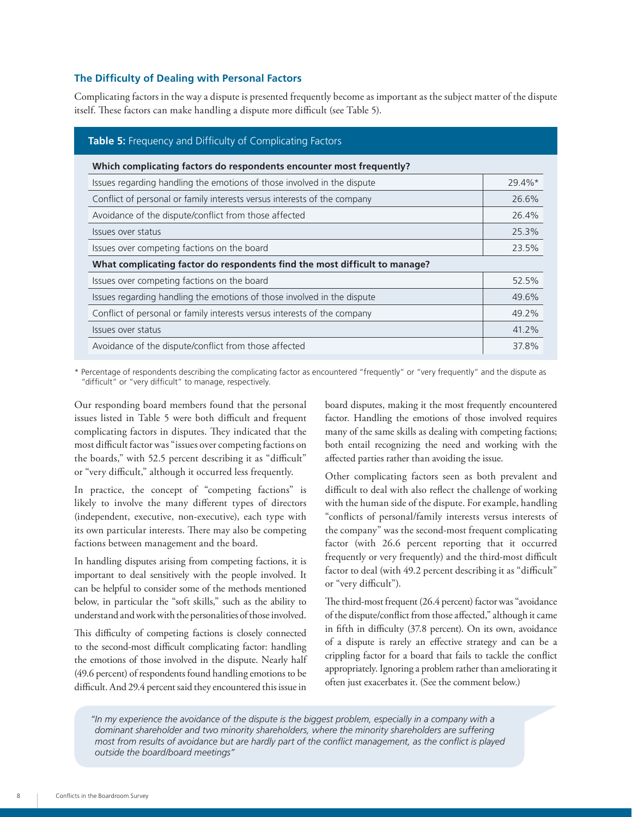#### **The Difficulty of Dealing with Personal Factors**

Complicating factors in the way a dispute is presented frequently become as important as the subject matter of the dispute itself. These factors can make handling a dispute more difficult (see Table 5).

| Table 5: Frequency and Difficulty of Complicating Factors                  |        |  |
|----------------------------------------------------------------------------|--------|--|
| Which complicating factors do respondents encounter most frequently?       |        |  |
| Issues regarding handling the emotions of those involved in the dispute    | 29.4%* |  |
| Conflict of personal or family interests versus interests of the company   | 26.6%  |  |
| Avoidance of the dispute/conflict from those affected                      | 26.4%  |  |
| Issues over status                                                         | 25.3%  |  |
| Issues over competing factions on the board                                | 23.5%  |  |
| What complicating factor do respondents find the most difficult to manage? |        |  |
| Issues over competing factions on the board                                | 52.5%  |  |
| Issues regarding handling the emotions of those involved in the dispute    | 49.6%  |  |
| Conflict of personal or family interests versus interests of the company   | 49.2%  |  |
| Issues over status                                                         | 41.2%  |  |
| Avoidance of the dispute/conflict from those affected                      | 37.8%  |  |

\* Percentage of respondents describing the complicating factor as encountered "frequently" or "very frequently" and the dispute as "difficult" or "very difficult" to manage, respectively.

Our responding board members found that the personal issues listed in Table 5 were both difficult and frequent complicating factors in disputes. They indicated that the most difficult factor was "issues over competing factions on the boards," with 52.5 percent describing it as "difficult" or "very difficult," although it occurred less frequently.

In practice, the concept of "competing factions" is likely to involve the many different types of directors (independent, executive, non-executive), each type with its own particular interests. There may also be competing factions between management and the board.

In handling disputes arising from competing factions, it is important to deal sensitively with the people involved. It can be helpful to consider some of the methods mentioned below, in particular the "soft skills," such as the ability to understand and work with the personalities of those involved.

This difficulty of competing factions is closely connected to the second-most difficult complicating factor: handling the emotions of those involved in the dispute. Nearly half (49.6 percent) of respondents found handling emotions to be difficult. And 29.4 percent said they encountered this issue in

board disputes, making it the most frequently encountered factor. Handling the emotions of those involved requires many of the same skills as dealing with competing factions; both entail recognizing the need and working with the affected parties rather than avoiding the issue.

Other complicating factors seen as both prevalent and difficult to deal with also reflect the challenge of working with the human side of the dispute. For example, handling "conflicts of personal/family interests versus interests of the company" was the second-most frequent complicating factor (with 26.6 percent reporting that it occurred frequently or very frequently) and the third-most difficult factor to deal (with 49.2 percent describing it as "difficult" or "very difficult").

The third-most frequent (26.4 percent) factor was "avoidance of the dispute/conflict from those affected," although it came in fifth in difficulty (37.8 percent). On its own, avoidance of a dispute is rarely an effective strategy and can be a crippling factor for a board that fails to tackle the conflict appropriately. Ignoring a problem rather than ameliorating it often just exacerbates it. (See the comment below.)

*"In my experience the avoidance of the dispute is the biggest problem, especially in a company with a dominant shareholder and two minority shareholders, where the minority shareholders are suffering most from results of avoidance but are hardly part of the conflict management, as the conflict is played outside the board/board meetings"*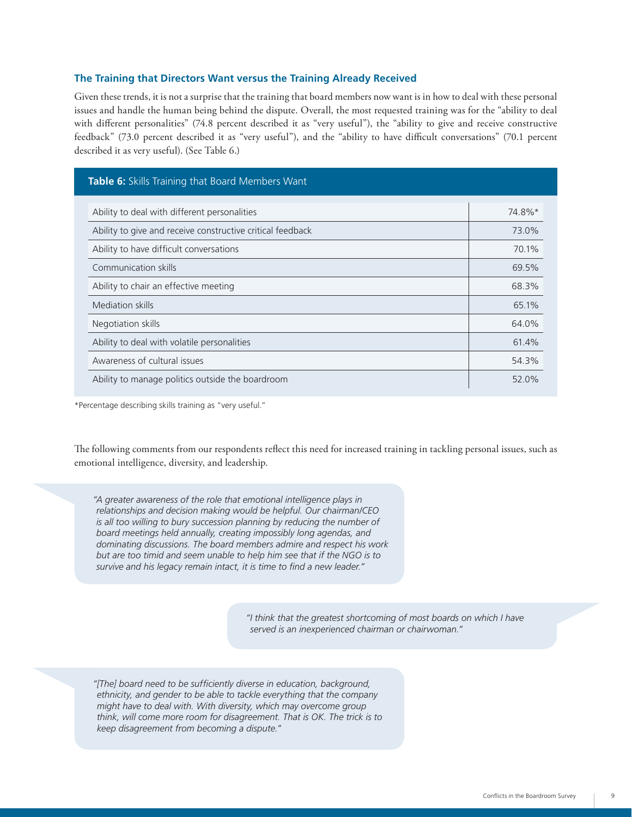#### **The Training that Directors Want versus the Training Already Received**

Given these trends, it is not a surprise that the training that board members now want is in how to deal with these personal issues and handle the human being behind the dispute. Overall, the most requested training was for the "ability to deal with different personalities" (74.8 percent described it as "very useful"), the "ability to give and receive constructive feedback" (73.0 percent described it as "very useful"), and the "ability to have difficult conversations" (70.1 percent described it as very useful). (See Table 6.)

| Table 6: Skills Training that Board Members Want           |        |
|------------------------------------------------------------|--------|
| Ability to deal with different personalities               | 74.8%* |
| Ability to give and receive constructive critical feedback | 73.0%  |
| Ability to have difficult conversations                    | 70.1%  |
| Communication skills                                       | 69.5%  |
| Ability to chair an effective meeting                      | 68.3%  |
| Mediation skills                                           | 65.1%  |
| Negotiation skills                                         | 64.0%  |
| Ability to deal with volatile personalities                | 61.4%  |
| Awareness of cultural issues                               | 54.3%  |
| Ability to manage politics outside the boardroom           | 52.0%  |

\*Percentage describing skills training as "very useful."

The following comments from our respondents reflect this need for increased training in tackling personal issues, such as emotional intelligence, diversity, and leadership.

*"A greater awareness of the role that emotional intelligence plays in relationships and decision making would be helpful. Our chairman/CEO is all too willing to bury succession planning by reducing the number of board meetings held annually, creating impossibly long agendas, and dominating discussions. The board members admire and respect his work but are too timid and seem unable to help him see that if the NGO is to survive and his legacy remain intact, it is time to find a new leader."*

> *"I think that the greatest shortcoming of most boards on which I have served is an inexperienced chairman or chairwoman."*

*"[The] board need to be sufficiently diverse in education, background, ethnicity, and gender to be able to tackle everything that the company might have to deal with. With diversity, which may overcome group think, will come more room for disagreement. That is OK. The trick is to keep disagreement from becoming a dispute."*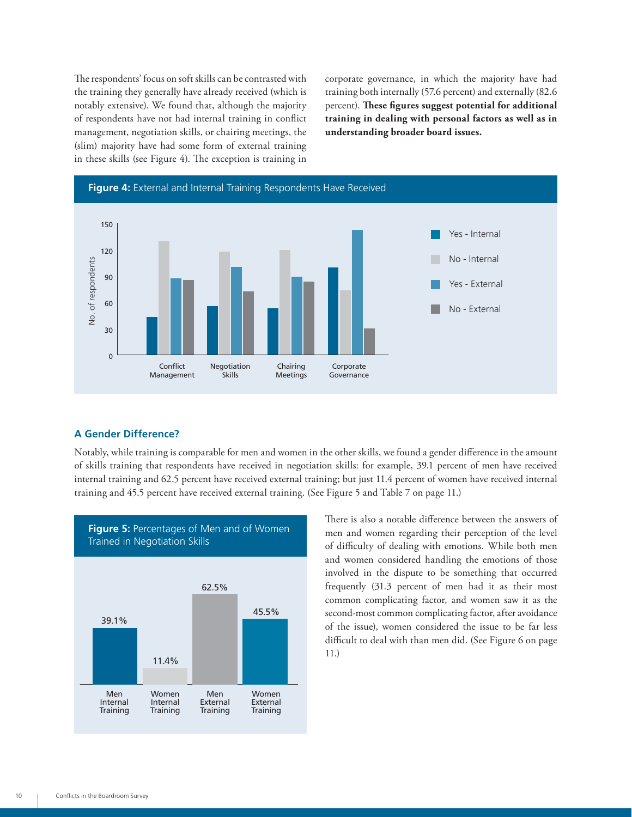The respondents' focus on soft skills can be contrasted with the training they generally have already received (which is notably extensive). We found that, although the majority of respondents have not had internal training in conflict management, negotiation skills, or chairing meetings, the (slim) majority have had some form of external training in these skills (see Figure 4). The exception is training in corporate governance, in which the majority have had training both internally (57.6 percent) and externally (82.6 percent). **These figures suggest potential for additional training in dealing with personal factors as well as in understanding broader board issues.**



#### **A Gender Difference?**

Notably, while training is comparable for men and women in the other skills, we found a gender difference in the amount of skills training that respondents have received in negotiation skills: for example, 39.1 percent of men have received internal training and 62.5 percent have received external training; but just 11.4 percent of women have received internal training and 45.5 percent have received external training. (See Figure 5 and Table 7 on page 11.)



There is also a notable difference between the answers of men and women regarding their perception of the level of difficulty of dealing with emotions. While both men and women considered handling the emotions of those involved in the dispute to be something that occurred frequently (31.3 percent of men had it as their most common complicating factor, and women saw it as the second-most common complicating factor, after avoidance of the issue), women considered the issue to be far less difficult to deal with than men did. (See Figure 6 on page 11.)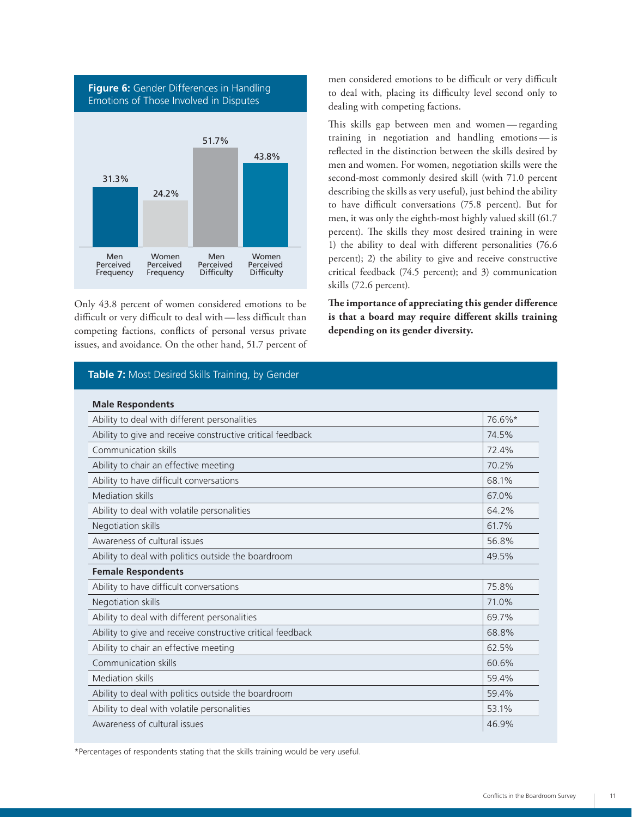

Only 43.8 percent of women considered emotions to be difficult or very difficult to deal with — less difficult than competing factions, conflicts of personal versus private issues, and avoidance. On the other hand, 51.7 percent of

#### **Table 7:** Most Desired Skills Training, by Gender

men considered emotions to be difficult or very difficult to deal with, placing its difficulty level second only to dealing with competing factions.

This skills gap between men and women — regarding training in negotiation and handling emotions — is reflected in the distinction between the skills desired by men and women. For women, negotiation skills were the second-most commonly desired skill (with 71.0 percent describing the skills as very useful), just behind the ability to have difficult conversations (75.8 percent). But for men, it was only the eighth-most highly valued skill (61.7 percent). The skills they most desired training in were 1) the ability to deal with different personalities (76.6 percent); 2) the ability to give and receive constructive critical feedback (74.5 percent); and 3) communication skills (72.6 percent).

**The importance of appreciating this gender difference is that a board may require different skills training depending on its gender diversity.**

| <b>Male Respondents</b>                                    |        |
|------------------------------------------------------------|--------|
| Ability to deal with different personalities               | 76.6%* |
| Ability to give and receive constructive critical feedback | 74.5%  |
| Communication skills                                       | 72.4%  |
| Ability to chair an effective meeting                      | 70.2%  |
| Ability to have difficult conversations                    | 68.1%  |
| <b>Mediation skills</b>                                    | 67.0%  |
| Ability to deal with volatile personalities                | 64.2%  |
| Negotiation skills                                         | 61.7%  |
| Awareness of cultural issues                               | 56.8%  |
| Ability to deal with politics outside the boardroom        | 49.5%  |
| <b>Female Respondents</b>                                  |        |
| Ability to have difficult conversations                    | 75.8%  |
| Negotiation skills                                         | 71.0%  |
| Ability to deal with different personalities               | 69.7%  |
| Ability to give and receive constructive critical feedback | 68.8%  |
| Ability to chair an effective meeting                      | 62.5%  |
| Communication skills                                       | 60.6%  |
| Mediation skills                                           | 59.4%  |
| Ability to deal with politics outside the boardroom        | 59.4%  |
| Ability to deal with volatile personalities                | 53.1%  |
| Awareness of cultural issues                               | 46.9%  |

\*Percentages of respondents stating that the skills training would be very useful.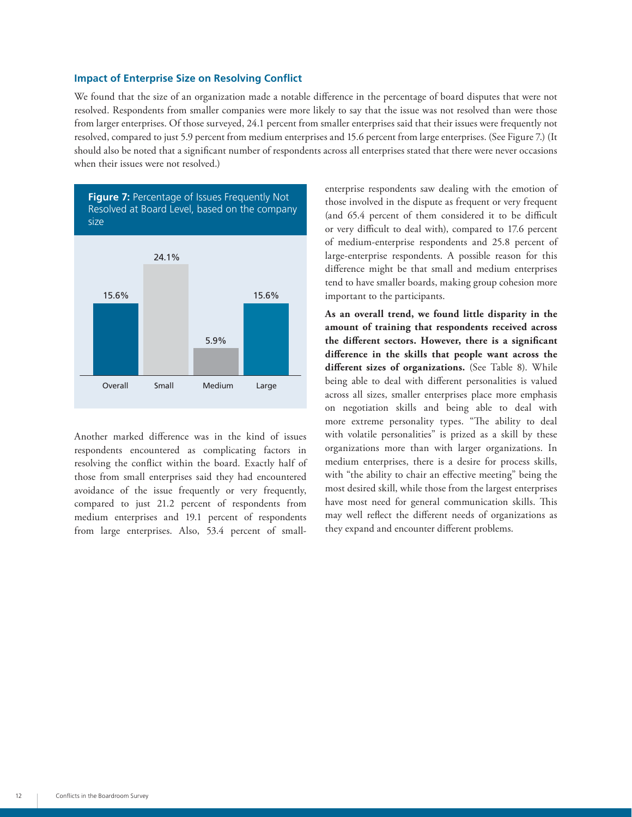#### **Impact of Enterprise Size on Resolving Conflict**

We found that the size of an organization made a notable difference in the percentage of board disputes that were not resolved. Respondents from smaller companies were more likely to say that the issue was not resolved than were those from larger enterprises. Of those surveyed, 24.1 percent from smaller enterprises said that their issues were frequently not resolved, compared to just 5.9 percent from medium enterprises and 15.6 percent from large enterprises. (See Figure 7.) (It should also be noted that a significant number of respondents across all enterprises stated that there were never occasions when their issues were not resolved.)



Another marked difference was in the kind of issues respondents encountered as complicating factors in resolving the conflict within the board. Exactly half of those from small enterprises said they had encountered avoidance of the issue frequently or very frequently, compared to just 21.2 percent of respondents from medium enterprises and 19.1 percent of respondents from large enterprises. Also, 53.4 percent of smallenterprise respondents saw dealing with the emotion of those involved in the dispute as frequent or very frequent (and 65.4 percent of them considered it to be difficult or very difficult to deal with), compared to 17.6 percent of medium-enterprise respondents and 25.8 percent of large-enterprise respondents. A possible reason for this difference might be that small and medium enterprises tend to have smaller boards, making group cohesion more important to the participants.

**As an overall trend, we found little disparity in the amount of training that respondents received across the different sectors. However, there is a significant difference in the skills that people want across the different sizes of organizations.** (See Table 8). While being able to deal with different personalities is valued across all sizes, smaller enterprises place more emphasis on negotiation skills and being able to deal with more extreme personality types. "The ability to deal with volatile personalities" is prized as a skill by these organizations more than with larger organizations. In medium enterprises, there is a desire for process skills, with "the ability to chair an effective meeting" being the most desired skill, while those from the largest enterprises have most need for general communication skills. This may well reflect the different needs of organizations as they expand and encounter different problems.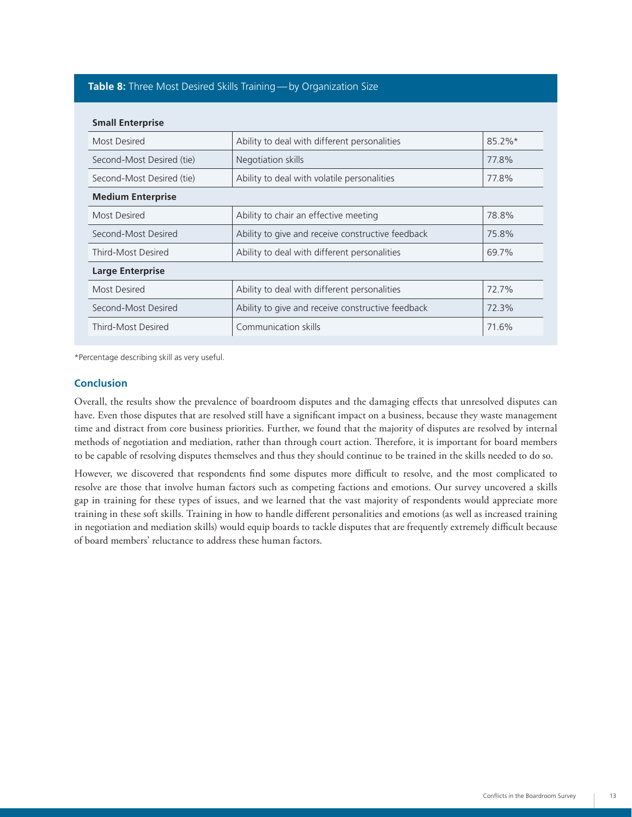#### **Table 8:** Three Most Desired Skills Training — by Organization Size

| <b>Small Enterprise</b>                           |           |  |
|---------------------------------------------------|-----------|--|
| Ability to deal with different personalities      | $85.2\%*$ |  |
| Negotiation skills                                | 77.8%     |  |
| Ability to deal with volatile personalities       | 77.8%     |  |
| <b>Medium Enterprise</b>                          |           |  |
| Ability to chair an effective meeting             | 78.8%     |  |
| Ability to give and receive constructive feedback | 75.8%     |  |
| Ability to deal with different personalities      | 69.7%     |  |
| <b>Large Enterprise</b>                           |           |  |
| Ability to deal with different personalities      | 72.7%     |  |
| Ability to give and receive constructive feedback | 72.3%     |  |
| Communication skills                              | 71.6%     |  |
|                                                   |           |  |

\*Percentage describing skill as very useful.

#### **Conclusion**

Overall, the results show the prevalence of boardroom disputes and the damaging effects that unresolved disputes can have. Even those disputes that are resolved still have a significant impact on a business, because they waste management time and distract from core business priorities. Further, we found that the majority of disputes are resolved by internal methods of negotiation and mediation, rather than through court action. Therefore, it is important for board members to be capable of resolving disputes themselves and thus they should continue to be trained in the skills needed to do so.

However, we discovered that respondents find some disputes more difficult to resolve, and the most complicated to resolve are those that involve human factors such as competing factions and emotions. Our survey uncovered a skills gap in training for these types of issues, and we learned that the vast majority of respondents would appreciate more training in these soft skills. Training in how to handle different personalities and emotions (as well as increased training in negotiation and mediation skills) would equip boards to tackle disputes that are frequently extremely difficult because of board members' reluctance to address these human factors.